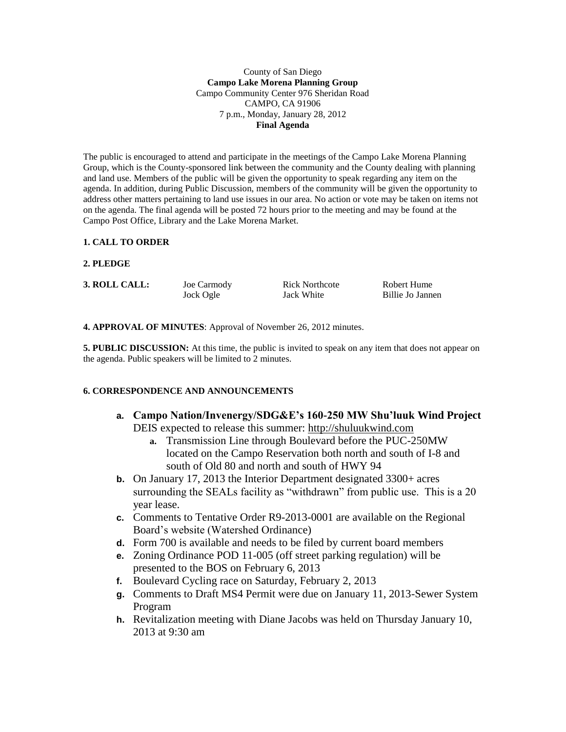#### County of San Diego **Campo Lake Morena Planning Group** Campo Community Center 976 Sheridan Road CAMPO, CA 91906 7 p.m., Monday, January 28, 2012 **Final Agenda**

The public is encouraged to attend and participate in the meetings of the Campo Lake Morena Planning Group, which is the County-sponsored link between the community and the County dealing with planning and land use. Members of the public will be given the opportunity to speak regarding any item on the agenda. In addition, during Public Discussion, members of the community will be given the opportunity to address other matters pertaining to land use issues in our area. No action or vote may be taken on items not on the agenda. The final agenda will be posted 72 hours prior to the meeting and may be found at the Campo Post Office, Library and the Lake Morena Market.

#### **1. CALL TO ORDER**

#### **2. PLEDGE**

**3. ROLL CALL:** Joe Carmody Rick Northcote Robert Hume

Jock Ogle Jack White Billie Jo Jannen

**4. APPROVAL OF MINUTES**: Approval of November 26, 2012 minutes.

**5. PUBLIC DISCUSSION:** At this time, the public is invited to speak on any item that does not appear on the agenda. Public speakers will be limited to 2 minutes.

#### **6. CORRESPONDENCE AND ANNOUNCEMENTS**

- **a. Campo Nation/Invenergy/SDG&E's 160-250 MW Shu'luuk Wind Project** DEIS expected to release this summer: [http://shuluukwind.com](http://shuluukwind.com/)
	- **a.** Transmission Line through Boulevard before the PUC-250MW located on the Campo Reservation both north and south of I-8 and south of Old 80 and north and south of HWY 94
- **b.** On January 17, 2013 the Interior Department designated 3300+ acres surrounding the SEALs facility as "withdrawn" from public use. This is a 20 year lease.
- **c.** Comments to Tentative Order R9-2013-0001 are available on the Regional Board's website (Watershed Ordinance)
- **d.** Form 700 is available and needs to be filed by current board members
- **e.** Zoning Ordinance POD 11-005 (off street parking regulation) will be presented to the BOS on February 6, 2013
- **f.** Boulevard Cycling race on Saturday, February 2, 2013
- **g.** Comments to Draft MS4 Permit were due on January 11, 2013-Sewer System Program
- **h.** Revitalization meeting with Diane Jacobs was held on Thursday January 10, 2013 at 9:30 am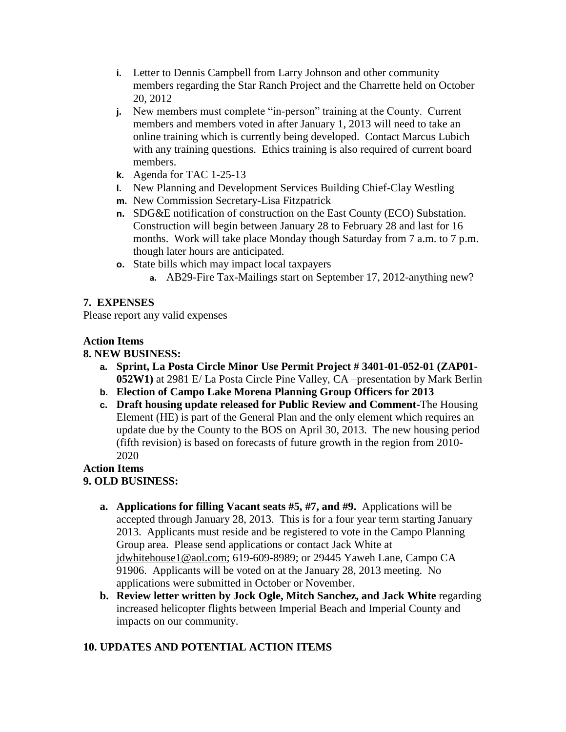- **i.** Letter to Dennis Campbell from Larry Johnson and other community members regarding the Star Ranch Project and the Charrette held on October 20, 2012
- **j.** New members must complete "in-person" training at the County. Current members and members voted in after January 1, 2013 will need to take an online training which is currently being developed. Contact Marcus Lubich with any training questions. Ethics training is also required of current board members.
- **k.** Agenda for TAC 1-25-13
- **l.** New Planning and Development Services Building Chief-Clay Westling
- **m.** New Commission Secretary-Lisa Fitzpatrick
- **n.** SDG&E notification of construction on the East County (ECO) Substation. Construction will begin between January 28 to February 28 and last for 16 months. Work will take place Monday though Saturday from 7 a.m. to 7 p.m. though later hours are anticipated.
- **o.** State bills which may impact local taxpayers
	- **a.** AB29-Fire Tax-Mailings start on September 17, 2012-anything new?

## **7. EXPENSES**

Please report any valid expenses

### **Action Items**

## **8. NEW BUSINESS:**

- **a. Sprint, La Posta Circle Minor Use Permit Project # 3401-01-052-01 (ZAP01- 052W1)** at 2981 E/ La Posta Circle Pine Valley, CA –presentation by Mark Berlin
- **b. Election of Campo Lake Morena Planning Group Officers for 2013**
- **c. Draft housing update released for Public Review and Comment-**The Housing Element (HE) is part of the General Plan and the only element which requires an update due by the County to the BOS on April 30, 2013. The new housing period (fifth revision) is based on forecasts of future growth in the region from 2010- 2020

### **Action Items 9. OLD BUSINESS:**

- **a. Applications for filling Vacant seats #5, #7, and #9.** Applications will be accepted through January 28, 2013. This is for a four year term starting January 2013. Applicants must reside and be registered to vote in the Campo Planning Group area. Please send applications or contact Jack White at [jdwhitehouse1@aol.com;](mailto:jdwhitehouse1@aol.com) 619-609-8989; or 29445 Yaweh Lane, Campo CA 91906. Applicants will be voted on at the January 28, 2013 meeting. No applications were submitted in October or November.
- **b. Review letter written by Jock Ogle, Mitch Sanchez, and Jack White** regarding increased helicopter flights between Imperial Beach and Imperial County and impacts on our community.

# **10. UPDATES AND POTENTIAL ACTION ITEMS**